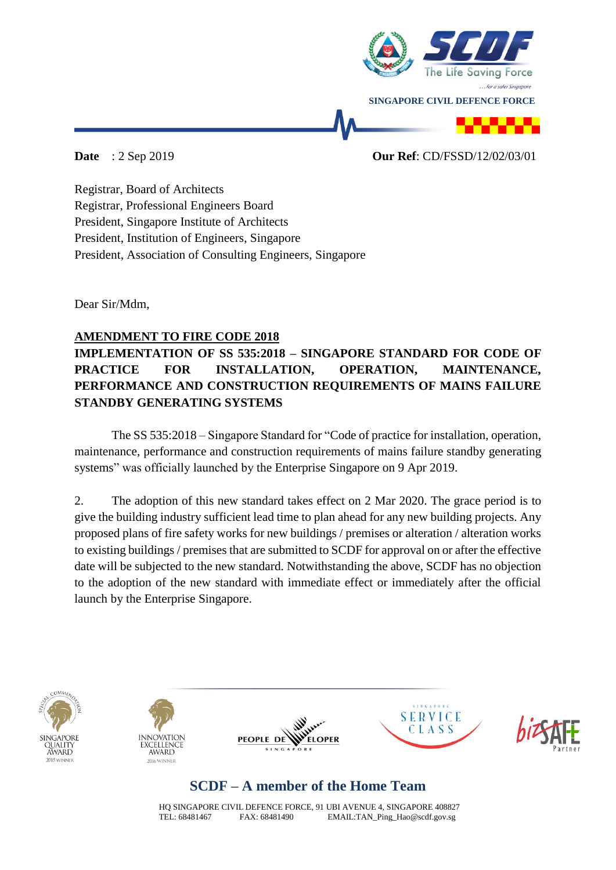

#### **Date** : 2 Sep 2019 **Our Ref**: CD/FSSD/12/02/03/01

Registrar, Board of Architects Registrar, Professional Engineers Board President, Singapore Institute of Architects President, Institution of Engineers, Singapore President, Association of Consulting Engineers, Singapore

Dear Sir/Mdm,

### **AMENDMENT TO FIRE CODE 2018**

### **IMPLEMENTATION OF SS 535:2018 – SINGAPORE STANDARD FOR CODE OF PRACTICE FOR INSTALLATION, OPERATION, MAINTENANCE, PERFORMANCE AND CONSTRUCTION REQUIREMENTS OF MAINS FAILURE STANDBY GENERATING SYSTEMS**

The SS 535:2018 – Singapore Standard for "Code of practice for installation, operation, maintenance, performance and construction requirements of mains failure standby generating systems" was officially launched by the Enterprise Singapore on 9 Apr 2019.

2. The adoption of this new standard takes effect on 2 Mar 2020. The grace period is to give the building industry sufficient lead time to plan ahead for any new building projects. Any proposed plans of fire safety works for new buildings / premises or alteration / alteration works to existing buildings / premises that are submitted to SCDF for approval on or after the effective date will be subjected to the new standard. Notwithstanding the above, SCDF has no objection to the adoption of the new standard with immediate effect or immediately after the official launch by the Enterprise Singapore.











# **SCDF – A member of the Home Team**